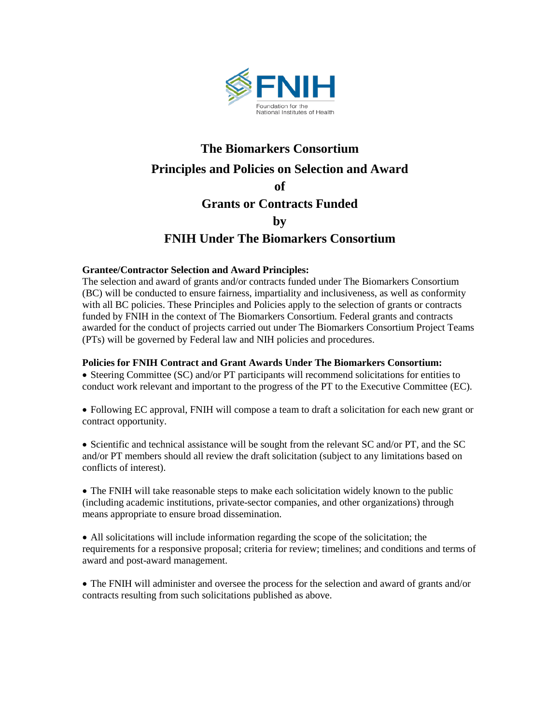

## **The Biomarkers Consortium Principles and Policies on Selection and Award of Grants or Contracts Funded by FNIH Under The Biomarkers Consortium**

## **Grantee/Contractor Selection and Award Principles:**

The selection and award of grants and/or contracts funded under The Biomarkers Consortium (BC) will be conducted to ensure fairness, impartiality and inclusiveness, as well as conformity with all BC policies. These Principles and Policies apply to the selection of grants or contracts funded by FNIH in the context of The Biomarkers Consortium. Federal grants and contracts awarded for the conduct of projects carried out under The Biomarkers Consortium Project Teams (PTs) will be governed by Federal law and NIH policies and procedures.

## **Policies for FNIH Contract and Grant Awards Under The Biomarkers Consortium:**

• Steering Committee (SC) and/or PT participants will recommend solicitations for entities to conduct work relevant and important to the progress of the PT to the Executive Committee (EC).

• Following EC approval, FNIH will compose a team to draft a solicitation for each new grant or contract opportunity.

• Scientific and technical assistance will be sought from the relevant SC and/or PT, and the SC and/or PT members should all review the draft solicitation (subject to any limitations based on conflicts of interest).

• The FNIH will take reasonable steps to make each solicitation widely known to the public (including academic institutions, private-sector companies, and other organizations) through means appropriate to ensure broad dissemination.

• All solicitations will include information regarding the scope of the solicitation; the requirements for a responsive proposal; criteria for review; timelines; and conditions and terms of award and post-award management.

• The FNIH will administer and oversee the process for the selection and award of grants and/or contracts resulting from such solicitations published as above.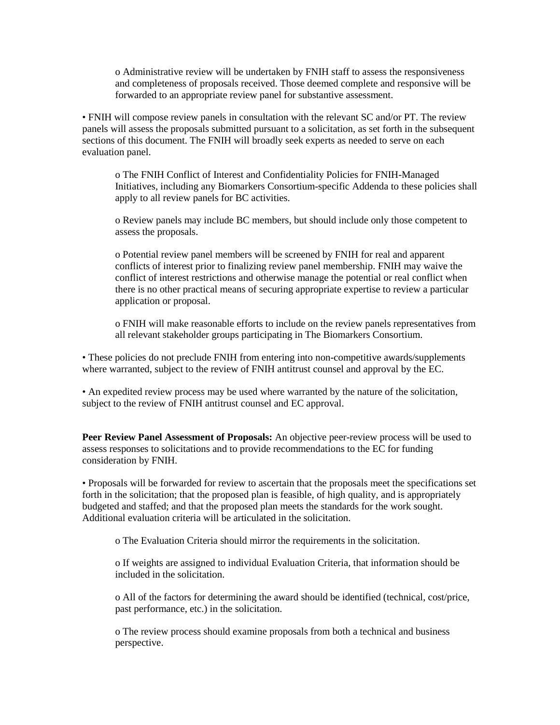o Administrative review will be undertaken by FNIH staff to assess the responsiveness and completeness of proposals received. Those deemed complete and responsive will be forwarded to an appropriate review panel for substantive assessment.

• FNIH will compose review panels in consultation with the relevant SC and/or PT. The review panels will assess the proposals submitted pursuant to a solicitation, as set forth in the subsequent sections of this document. The FNIH will broadly seek experts as needed to serve on each evaluation panel.

o The FNIH Conflict of Interest and Confidentiality Policies for FNIH-Managed Initiatives, including any Biomarkers Consortium-specific Addenda to these policies shall apply to all review panels for BC activities.

o Review panels may include BC members, but should include only those competent to assess the proposals.

o Potential review panel members will be screened by FNIH for real and apparent conflicts of interest prior to finalizing review panel membership. FNIH may waive the conflict of interest restrictions and otherwise manage the potential or real conflict when there is no other practical means of securing appropriate expertise to review a particular application or proposal.

o FNIH will make reasonable efforts to include on the review panels representatives from all relevant stakeholder groups participating in The Biomarkers Consortium.

• These policies do not preclude FNIH from entering into non-competitive awards/supplements where warranted, subject to the review of FNIH antitrust counsel and approval by the EC.

• An expedited review process may be used where warranted by the nature of the solicitation, subject to the review of FNIH antitrust counsel and EC approval.

**Peer Review Panel Assessment of Proposals:** An objective peer-review process will be used to assess responses to solicitations and to provide recommendations to the EC for funding consideration by FNIH.

• Proposals will be forwarded for review to ascertain that the proposals meet the specifications set forth in the solicitation; that the proposed plan is feasible, of high quality, and is appropriately budgeted and staffed; and that the proposed plan meets the standards for the work sought. Additional evaluation criteria will be articulated in the solicitation.

o The Evaluation Criteria should mirror the requirements in the solicitation.

o If weights are assigned to individual Evaluation Criteria, that information should be included in the solicitation.

o All of the factors for determining the award should be identified (technical, cost/price, past performance, etc.) in the solicitation.

o The review process should examine proposals from both a technical and business perspective.